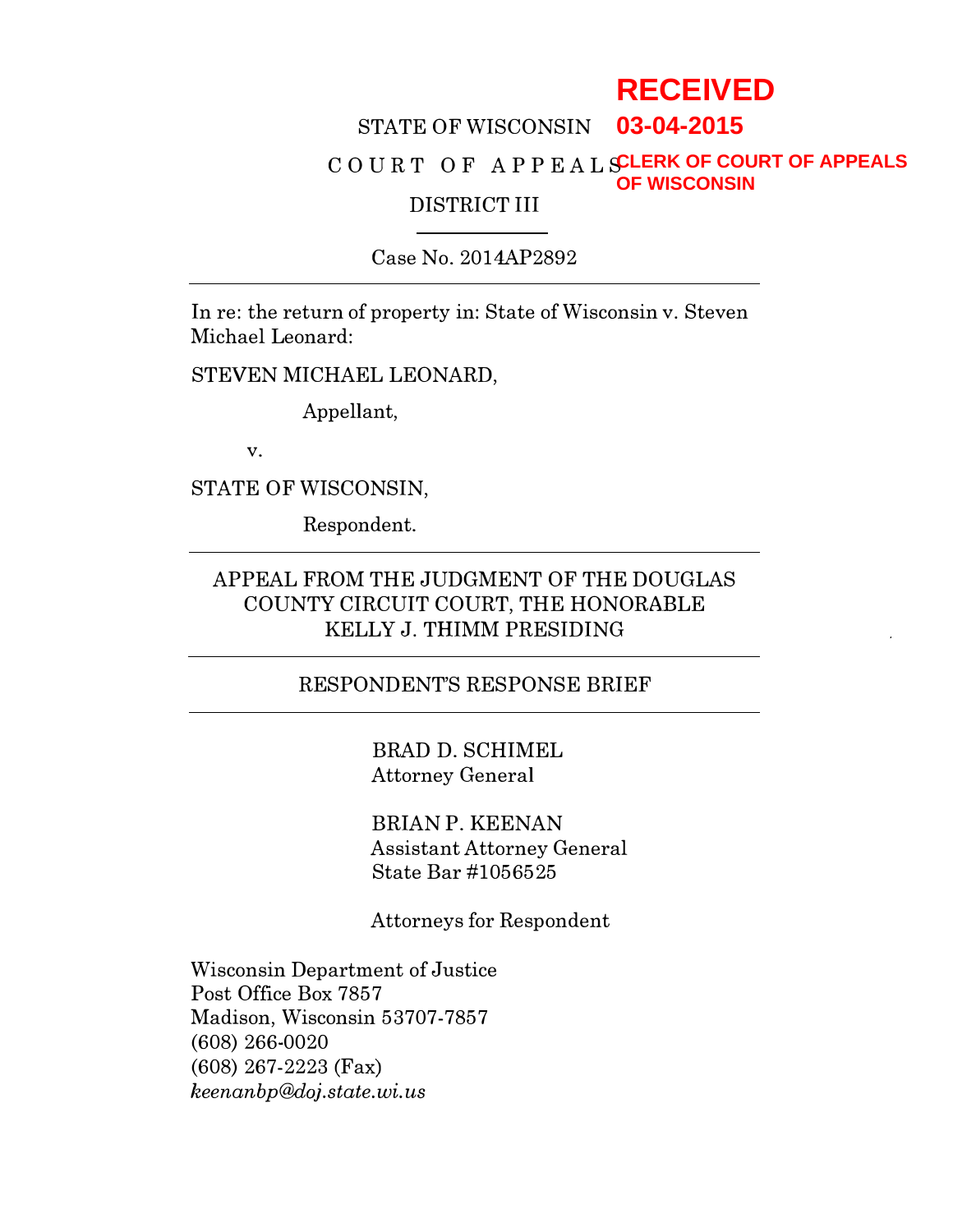# **RECEIVED**

#### STATE OF WISCONSIN **03-04-2015**

#### $\hbox{\tt CO}\,\hbox{\tt U}\,\hbox{\tt R}\,\hbox{\tt T}\,\,\hbox{\tt O}\,\hbox{\tt F}\,\, \hbox{\tt A}\,\hbox{\tt P}\,\hbox{\tt P}\,\hbox{\tt E}\,\hbox{\tt A}\,\hbox{\tt L}\,\hbox{\tt S}\hbox{\tt L}\hbox{\tt E}\hbox{\tt R}\hbox{\tt K}\,\hbox{\tt O}\hbox{\tt F}\,\hbox{\tt CO}\hbox{\tt U}\hbox{\tt R}\,\hbox{\tt T}\,\hbox{\tt O}\hbox{\tt F}\,\hbox{\tt A}\hbox{\tt P}\hbox{\tt P}\hbox{\tt E}\hbox{\tt A}\hbox{\tt S}\,\hbox{\tt F}\,\hbox{\tt F}\$ DISTRICT III **OF WISCONSIN**

### Case No. 2014AP2892

In re: the return of property in: State of Wisconsin v. Steven Michael Leonard:

STEVEN MICHAEL LEONARD,

Appellant,

v.

STATE OF WISCONSIN,

Respondent.

### APPEAL FROM THE JUDGMENT OF THE DOUGLAS COUNTY CIRCUIT COURT, THE HONORABLE KELLY J. TRIMM PRESIDING

#### RESPONDENT'S RESPONSE BRIEF

BRAD D. SCHIMEL Attorney General

BRIAN P. KEENAN Assistant Attorney General State Bar #1056525

Attorneys for Respondent

Wisconsin Department of Justice Post Office Box 7857 Madison, Wisconsin 53707-7857 (608) 266-0020 (608) 267-2223 (Fax) heenanbp@doj.state. wi. us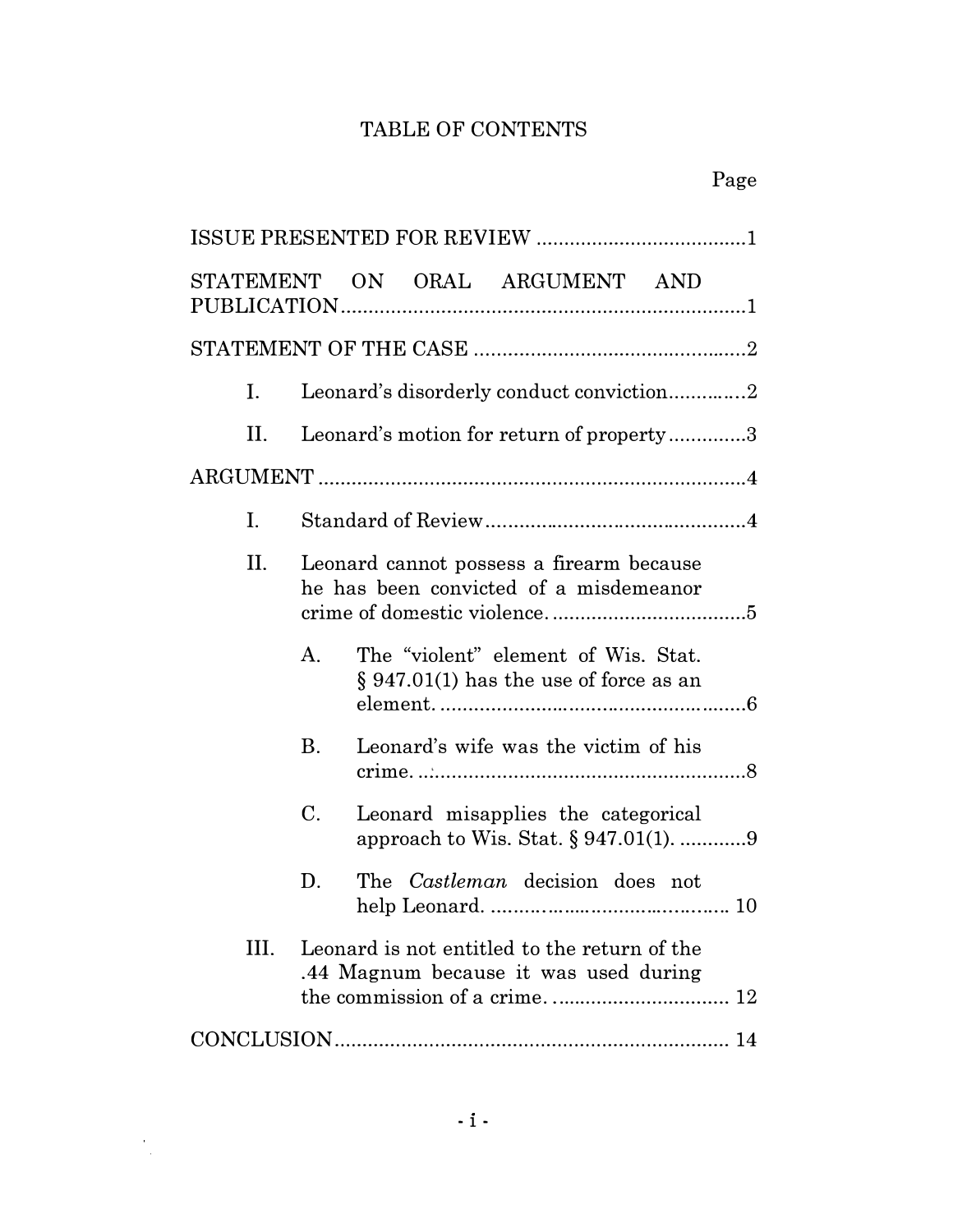### TABLE OF CONTENTS

| STATEMENT ON ORAL ARGUMENT AND                                                                                                |  |  |
|-------------------------------------------------------------------------------------------------------------------------------|--|--|
|                                                                                                                               |  |  |
| Leonard's disorderly conduct conviction2<br>I.                                                                                |  |  |
| Leonard's motion for return of property3<br>Н.                                                                                |  |  |
|                                                                                                                               |  |  |
| I.                                                                                                                            |  |  |
| П.<br>Leonard cannot possess a firearm because<br>he has been convicted of a misdemeanor                                      |  |  |
| The "violent" element of Wis. Stat.<br>$A_{\cdot}$<br>$\S 947.01(1)$ has the use of force as an                               |  |  |
| Leonard's wife was the victim of his<br>B.                                                                                    |  |  |
| C.<br>Leonard misapplies the categorical<br>approach to Wis. Stat. § 947.01(1). 9                                             |  |  |
| D.<br>The <i>Castleman</i> decision does not                                                                                  |  |  |
| III.<br>Leonard is not entitled to the return of the<br>.44 Magnum because it was used during<br>the commission of a crime 12 |  |  |
|                                                                                                                               |  |  |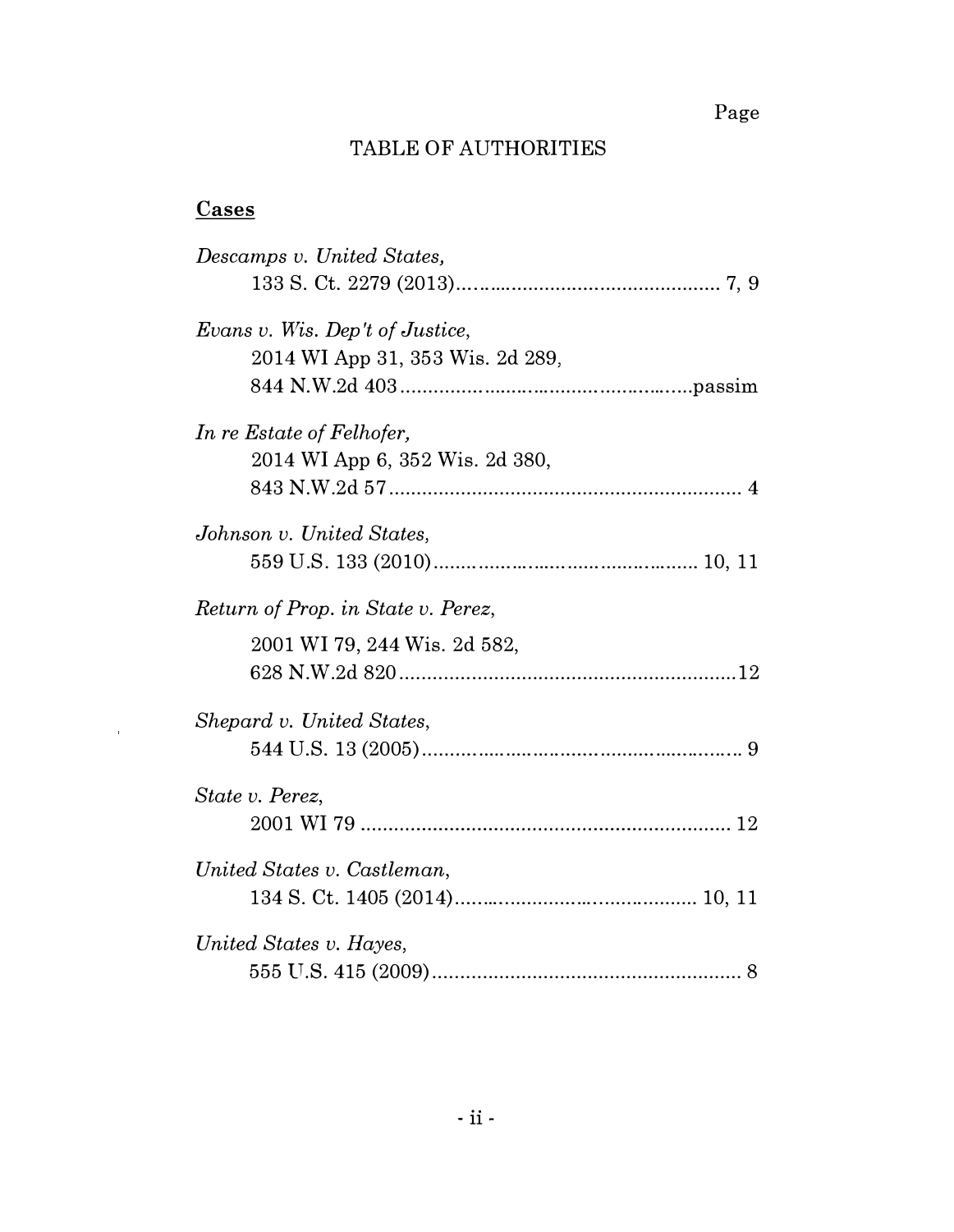Page

### TABLE OF AUTHORITIES

### **Cases**

 $\hat{\boldsymbol{\tau}}$ 

| Descamps v. United States,         |
|------------------------------------|
|                                    |
| Evans v. Wis. Dep't of Justice,    |
| 2014 WI App 31, 353 Wis. 2d 289,   |
|                                    |
| In re Estate of Felhofer,          |
| 2014 WI App 6, 352 Wis. 2d 380,    |
|                                    |
| Johnson v. United States,          |
|                                    |
| Return of Prop. in State v. Perez, |
| 2001 WI 79, 244 Wis. 2d 582,       |
|                                    |
|                                    |
| Shepard v. United States,          |
|                                    |
| State v. Perez,                    |
|                                    |
| United States v. Castleman,        |
|                                    |
| United States v. Hayes,            |
|                                    |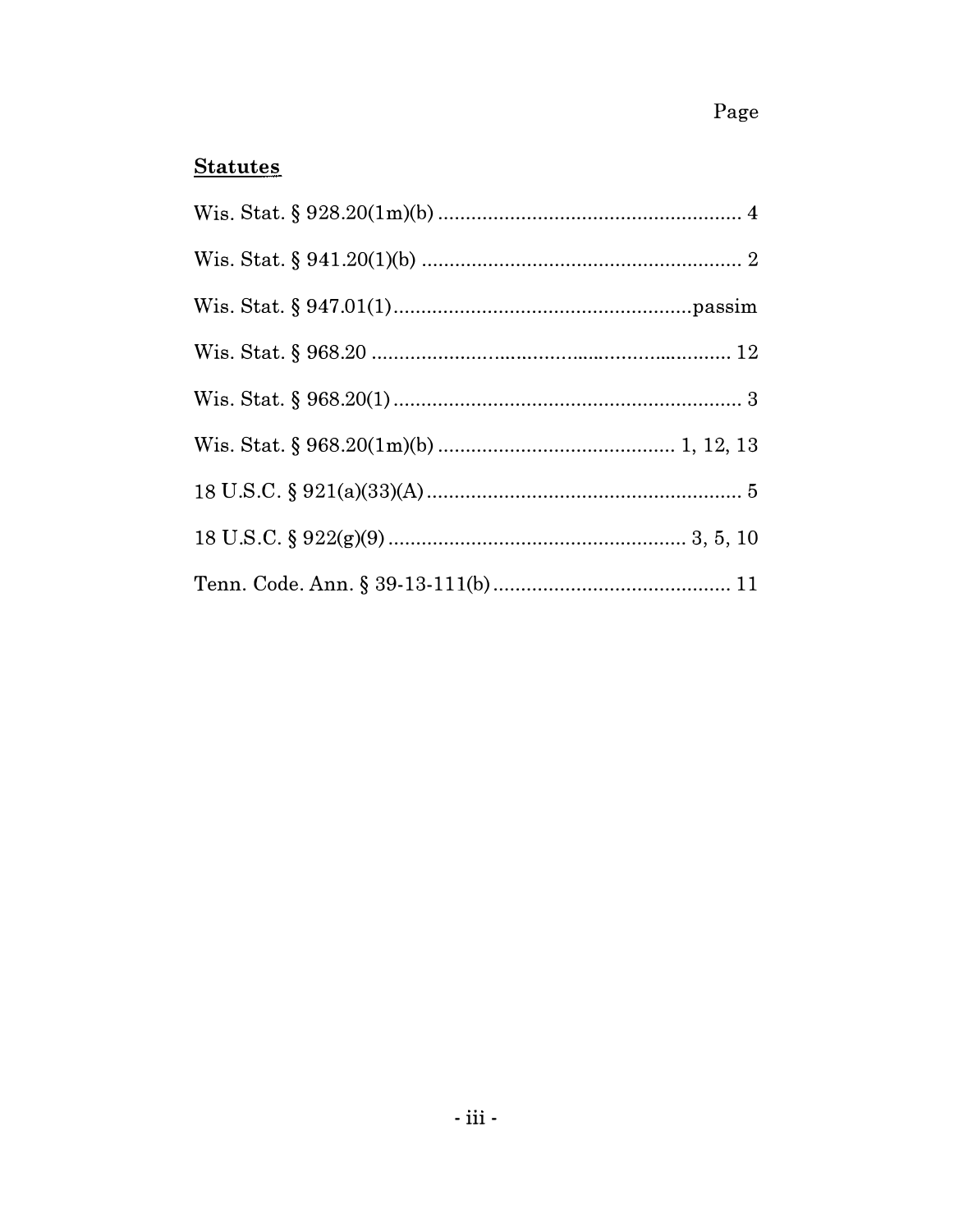## **Statutes**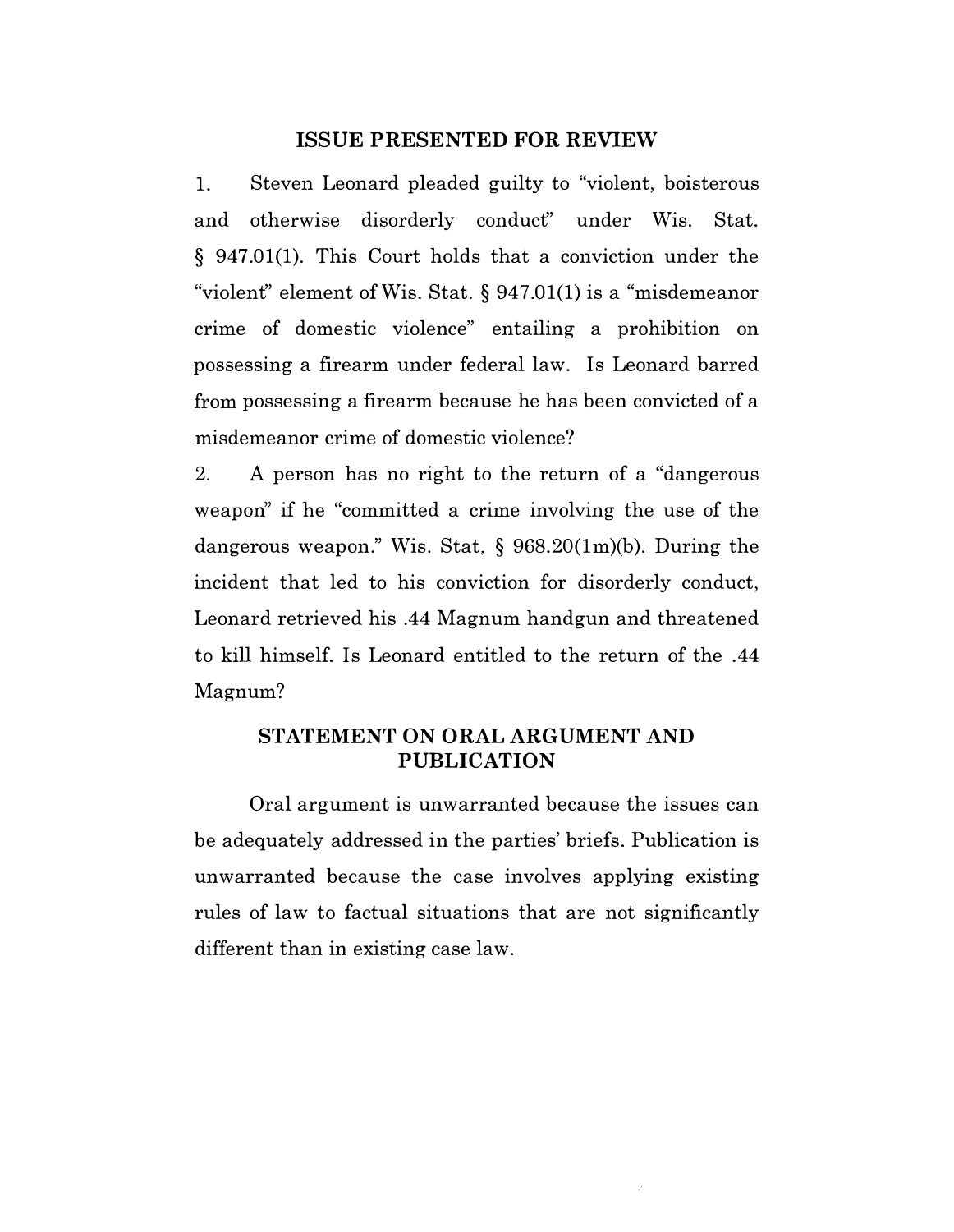#### ISSUE PRESENTED FOR REVIEW

1. Steven Leonard pleaded guilty to "violent, boisterous and otherwise disorderly conduct" under Wis. Stat. § 947.01(1). This Court holds that a conviction under the "violent" element of Wis. Stat.§ 947.01(1) is a "misdemeanor crime of domestic violence" entailing a prohibition on possessing a firearm under federal law. Is Leonard barred from possessing a firearm because he has been convicted of a misdemeanor crime of domestic violence?

2. A person has no right to the return of a "dangerous weapon" if he "committed a crime involving the use of the dangerous weapon." Wis. Stat. § 968.20(1m)(b). During the incident that led to his conviction for disorderly conduct, Leonard retrieved his .44 Magnum handgun and threatened to kill himself. Is Leonard entitled to the return of the .44 Magnum?

#### STATEMENT ON ORAL ARGUMENT AND PUBLICATION

Oral argument is unwarranted because the issues can be adequately addressed in the parties' briefs. Publication is unwarranted because the case involves applying existing rules of law to factual situations that are not significantly different than in existing case law.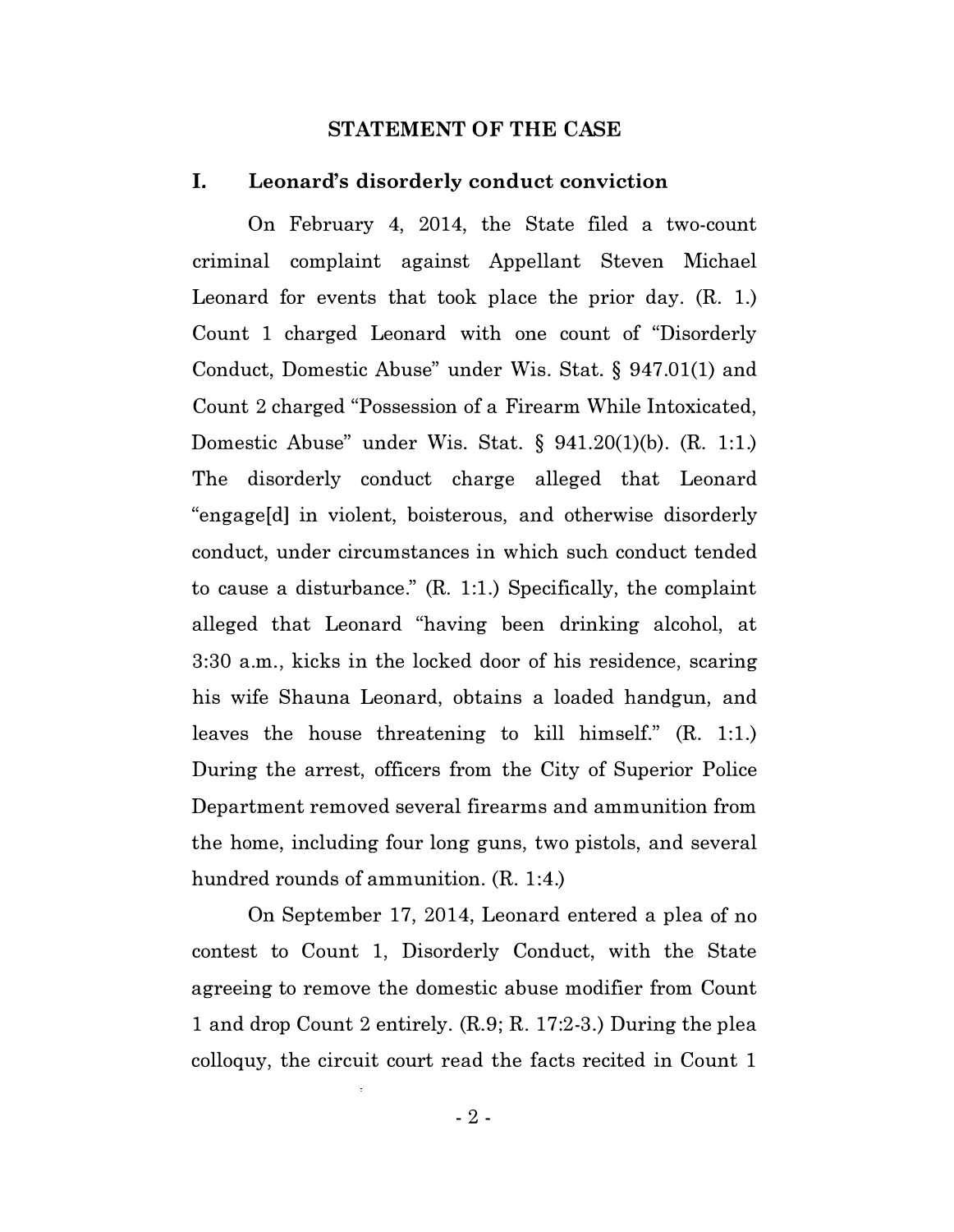#### STATEMENT OF THE CASE

#### I. Leonard's disorderly conduct conviction

On February 4, 2014, the State filed a two-count criminal complaint against Appellant Steven Michael Leonard for events that took place the prior day. (R. 1.) Count 1 charged Leonard with one count of "Disorderly Conduct, Domestic Abuse" under Wis. Stat. § 947.01(1) and Count 2 charged "Possession of a Firearm While Intoxicated, Domestic Abuse" under Wis. Stat. § 941.20(1)(b). (R. 1:1.) The disorderly conduct charge alleged that Leonard "engage[d] in violent, boisterous, and otherwise disorderly conduct, under circumstances in which such conduct tended to cause a disturbance." (R. 1:1.) Specifically, the complaint alleged that Leonard "having been drinking alcohol, at 3:30 a.m., kicks in the locked door of his residence, scaring his wife Shauna Leonard, obtains a loaded handgun, and leaves the house threatening to kill himself." (R. 1:1.) During the arrest, officers from the City of Superior Police Department removed several firearms and ammunition from the home, including four long guns, two pistols, and several hundred rounds of ammunition. (R. 1:4.)

On September 17, 2014, Leonard entered a plea of no contest to Count 1, Disorderly Conduct, with the State agreeing to remove the domestic abuse modifier from Count 1 and drop Count 2 entirely. (R.9; R. 17:2-3.) During the plea colloquy, the circuit court read the facts recited in Count 1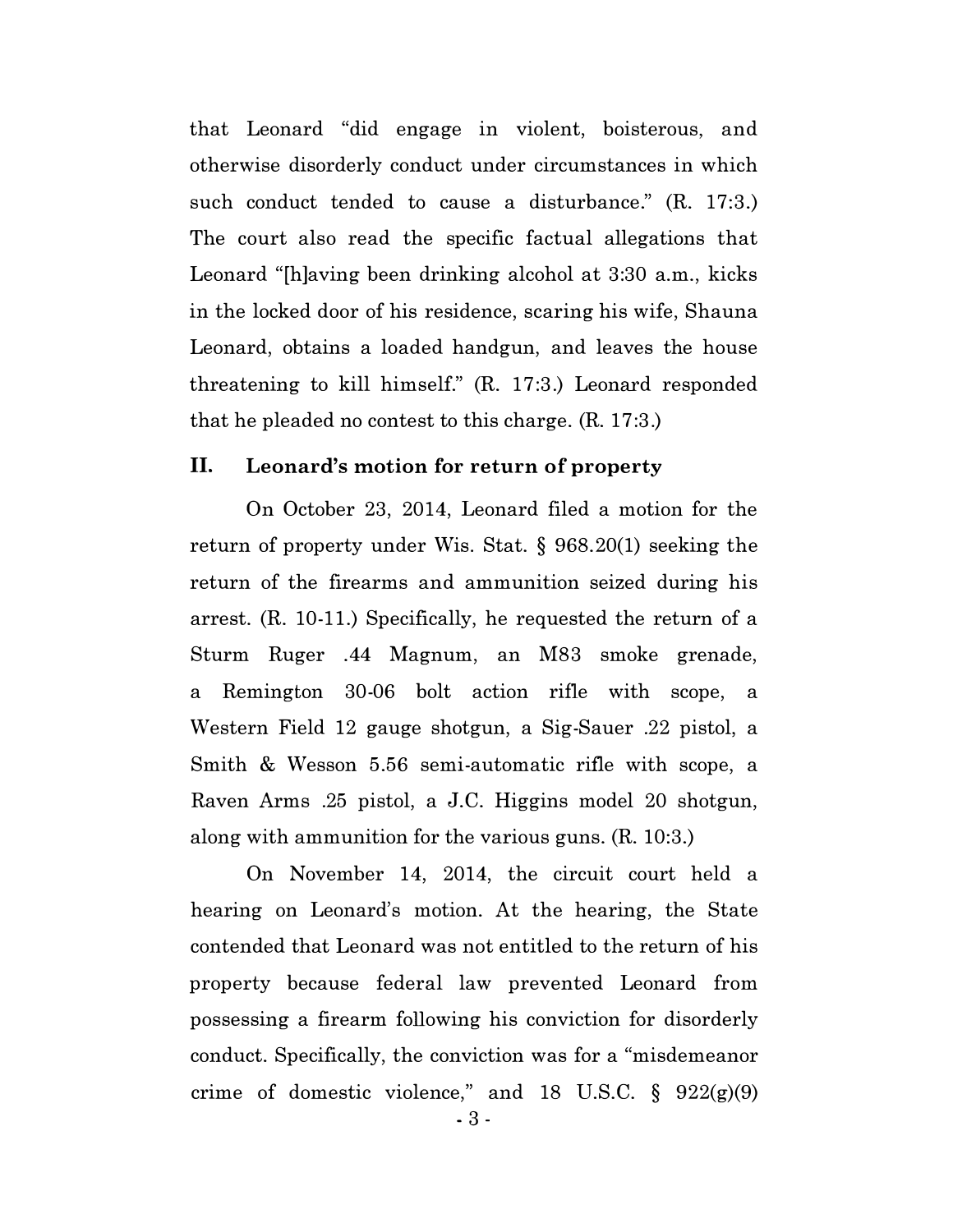that Leonard "did engage in violent, boisterous, and otherwise disorderly conduct under circumstances in which such conduct tended to cause a disturbance." (R. 17:3.) The court also read the specific factual allegations that Leonard "[h]aving been drinking alcohol at 3:30 a.m., kicks in the locked door of his residence, scaring his wife, Shauna Leonard, obtains a loaded handgun, and leaves the house threatening to kill himself." (R. 17:3.) Leonard responded that he pleaded no contest to this charge. (R. 17:3.)

#### II. Leonard's motion for return of property

On October 23, 2014, Leonard filed a motion for the return of property under Wis. Stat. § 968.20(1) seeking the return of the firearms and ammunition seized during his arrest. (R. 10-11.) Specifically, he requested the return of a Sturm Ruger .44 Magnum, an M83 smoke grenade, a Remington 30-06 bolt action rifle with scope, a Western Field 12 gauge shotgun, a Sig-Sauer .22 pistol, a Smith & Wesson 5.56 semi-automatic rifle with scope, a Raven Arms .25 pistol, a J.C. Higgins model 20 shotgun, along with ammunition for the various guns. (R. 10:3.)

On November 14, 2014, the circuit court held a hearing on Leonard's motion. At the hearing, the State contended that Leonard was not entitled to the return of his property because federal law prevented Leonard from possessing a firearm following his conviction for disorderly conduct. Specifically, the conviction was for a "misdemeanor crime of domestic violence," and 18 U.S.C.  $\S$  922(g)(9)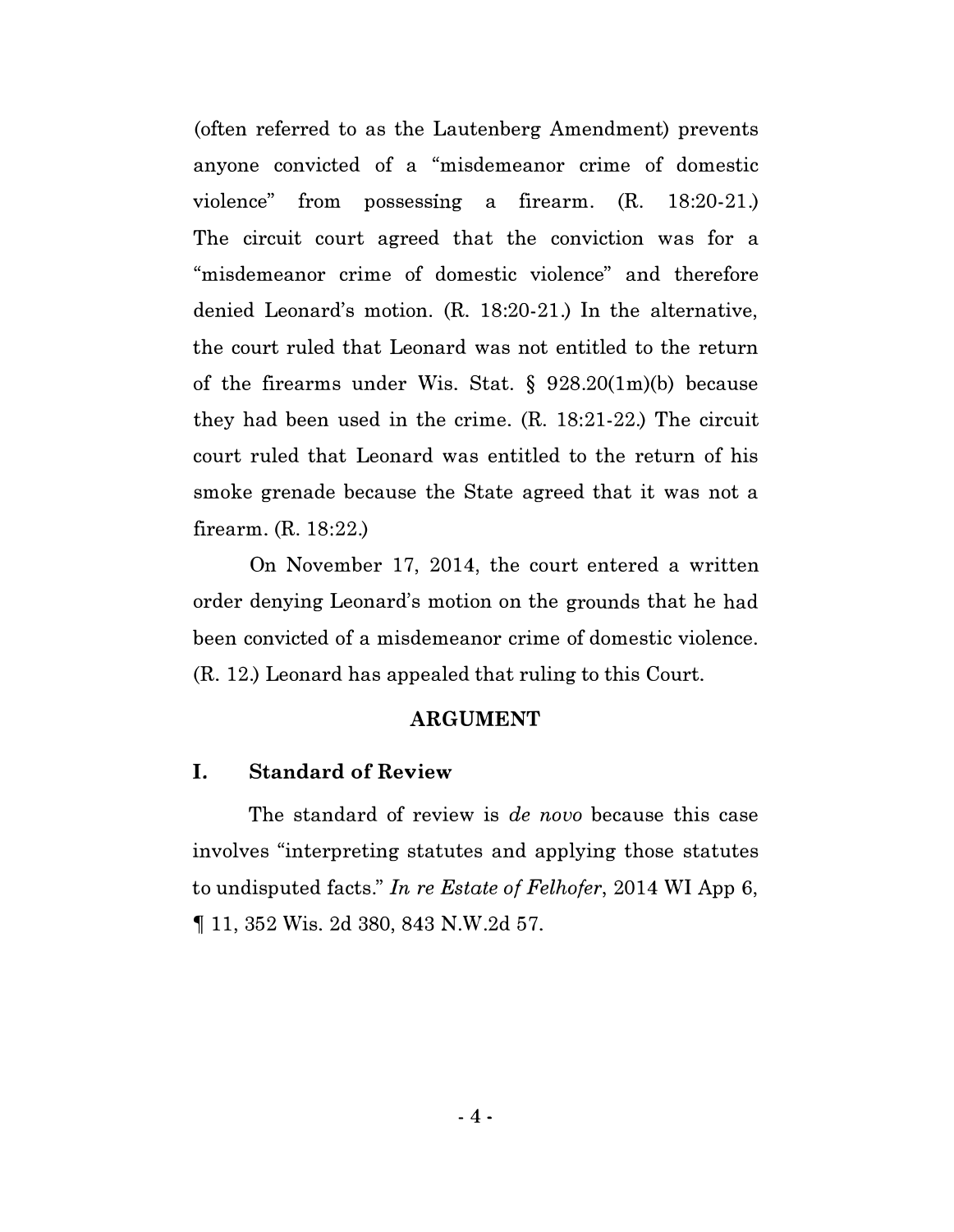(often referred to as the Lautenberg Amendment) prevents anyone convicted of a "misdemeanor crime of domestic violence" from possessmg a firearm. (R. 18:20-21.) The circuit court agreed that the conviction was for a "misdemeanor crime of domestic violence" and therefore denied Leonard's motion. (R. 18:20-21.) In the alternative, the court ruled that Leonard was not entitled to the return of the firearms under Wis. Stat. § 928.20(1m)(b) because they had been used in the crime. (R. 18:21-22.) The circuit court ruled that Leonard was entitled to the return of his smoke grenade because the State agreed that it was not a firearm. (R. 18:22.)

On November 17, 2014, the court entered a written order denying Leonard's motion on the grounds that he had been convicted of a misdemeanor crime of domestic violence. (R. 12.) Leonard has appealed that ruling to this Court.

#### ARGUMENT

#### I. Standard of Review

The standard of review is *de novo* because this case involves "interpreting statutes and applying those statutes to undisputed facts." In re Estate of Felhofer, 2014 WI App 6, � 11, 352 Wis. 2d 380, 843 N.W.2d 57.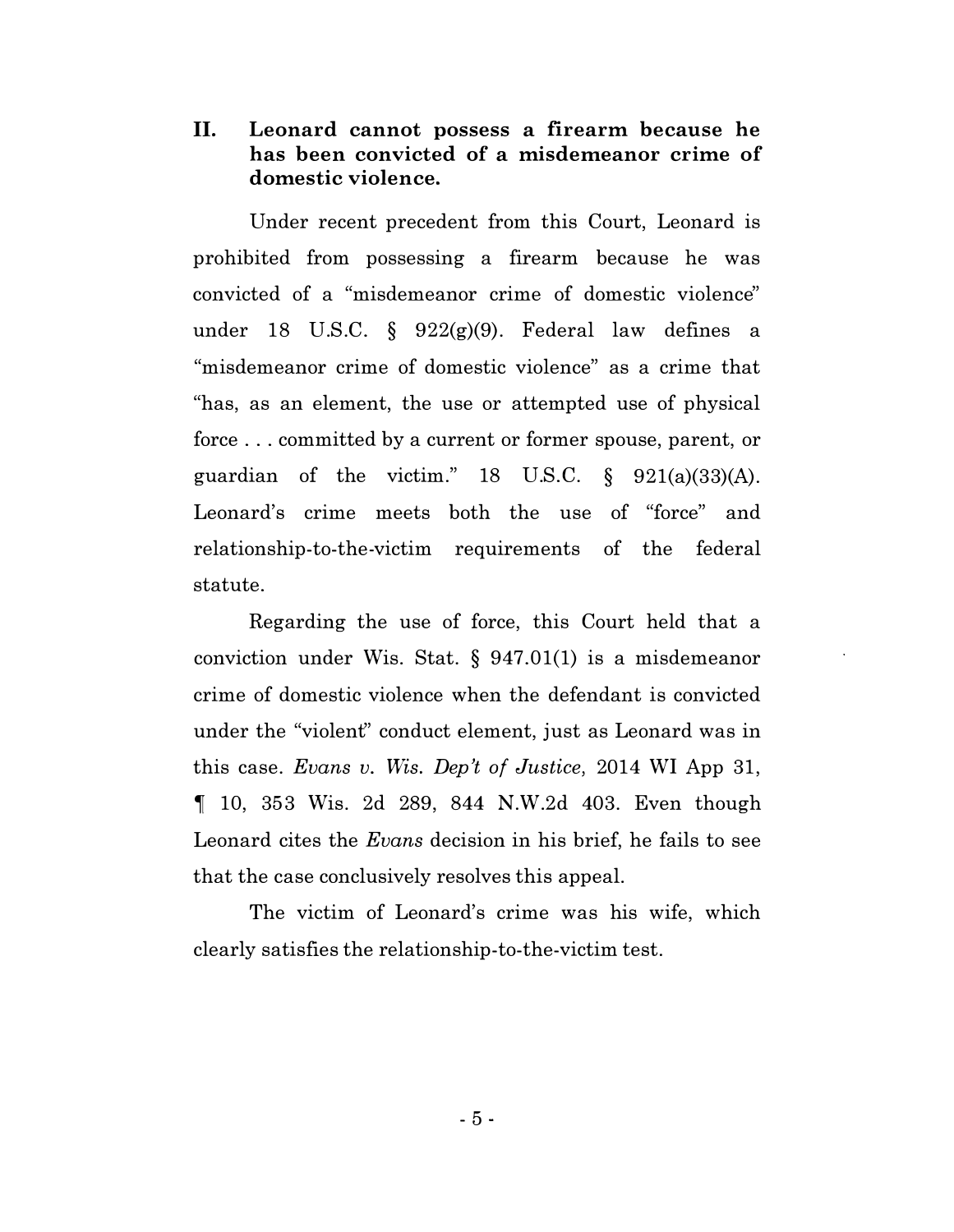II. Leonard cannot possess a firearm because he has been convicted of a misdemeanor crime of domestic violence.

Under recent precedent from this Court, Leonard is prohibited from possessing a firearm because he was convicted of a "misdemeanor crime of domestic violence" under 18 U.S.C. § 922(g)(9). Federal law defines a "misdemeanor crime of domestic violence" as a crime that "has, as an element, the use or attempted use of physical force ... committed by a current or former spouse, parent, or guardian of the victim." 18 U.S.C.  $\S$  921(a)(33)(A). Leonard's crime meets both the use of "force" and relationship-to-the-victim requirements of the federal statute.

Regarding the use of force, this Court held that a conviction under Wis. Stat. § 947.01(1) is a misdemeanor crime of domestic violence when the defendant is convicted under the "violent" conduct element, just as Leonard was in this case. Evans v. Wis. Dep't of Justice, 2014 WI App 31,  $\parallel$  10, 353 Wis. 2d 289, 844 N.W.2d 403. Even though Leonard cites the Evans decision in his brief, he fails to see that the case conclusively resolves this appeal.

The victim of Leonard's crime was his wife, which clearly satisfies the relationship-to-the-victim test.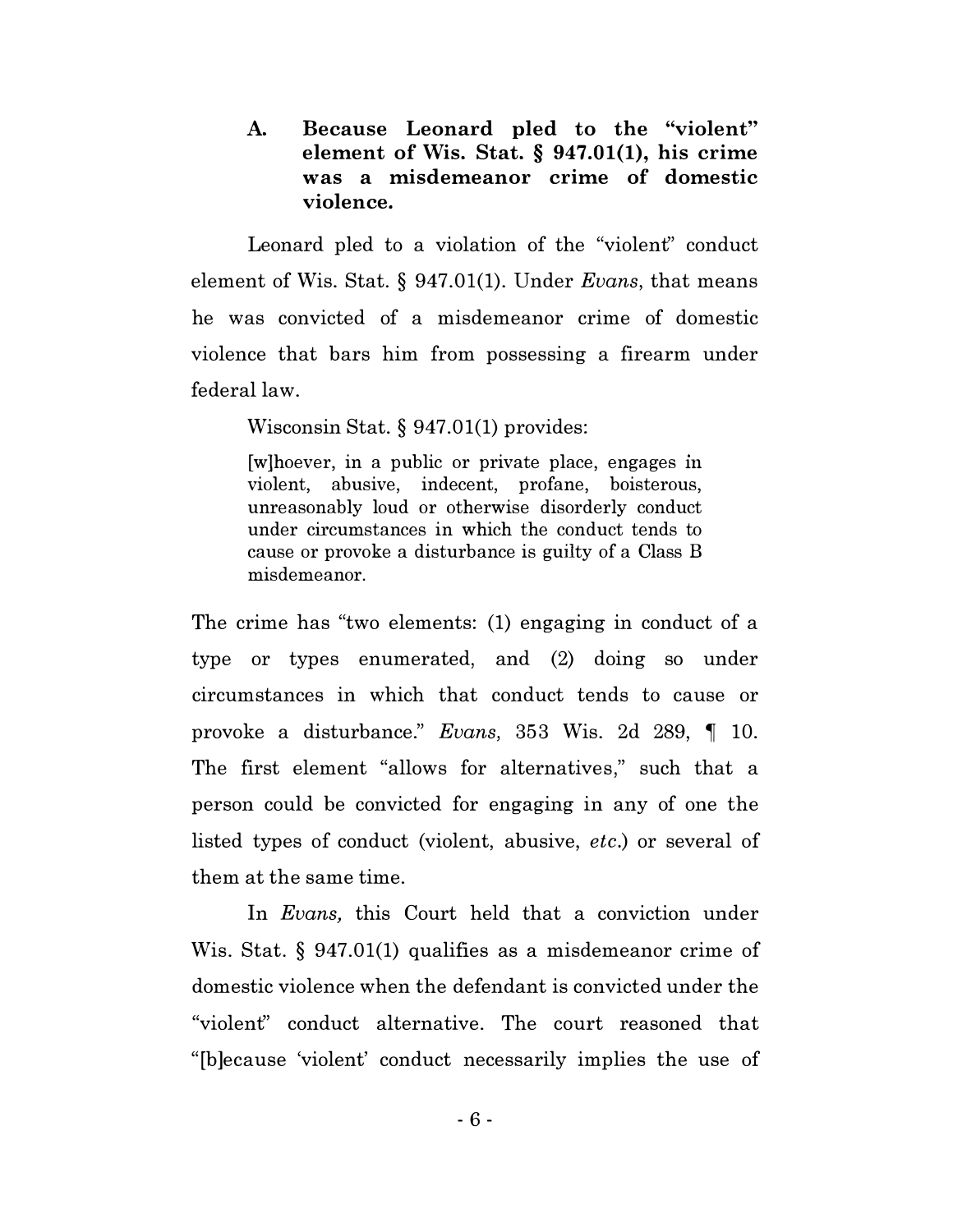A. Because Leonard pled to the "violent" element of Wis. Stat. § 947.01(1), his crime was a misdemeanor crime of domestic violence.

Leonard pled to a violation of the "violent" conduct element of Wis. Stat. § 947.01(1). Under Evans, that means he was convicted of a misdemeanor crime of domestic violence that bars him from possessing a firearm under federal law.

Wisconsin Stat. § 947.01(1) provides:

[w]hoever, in a public or private place, engages <sup>m</sup> violent, abusive, indecent, profane, boisterous, unreasonably loud or otherwise disorderly conduct under circumstances in which the conduct tends to cause or provoke a disturbance is guilty of a Class B misdemeanor.

The crime has "two elements: (1) engaging in conduct of a type or types enumerated, and (2) doing so under circumstances in which that conduct tends to cause or provoke a disturbance." Evans, 353 Wis. 2d 289,  $\parallel$  10. The first element "allows for alternatives," such that a person could be convicted for engaging in any of one the listed types of conduct (violent, abusive, etc.) or several of them at the same time.

In *Evans*, this Court held that a conviction under Wis. Stat. § 947.01(1) qualifies as a misdemeanor crime of domestic violence when the defendant is convicted under the "violent" conduct alternative. The court reasoned that "[b]ecause 'violent' conduct necessarily implies the use of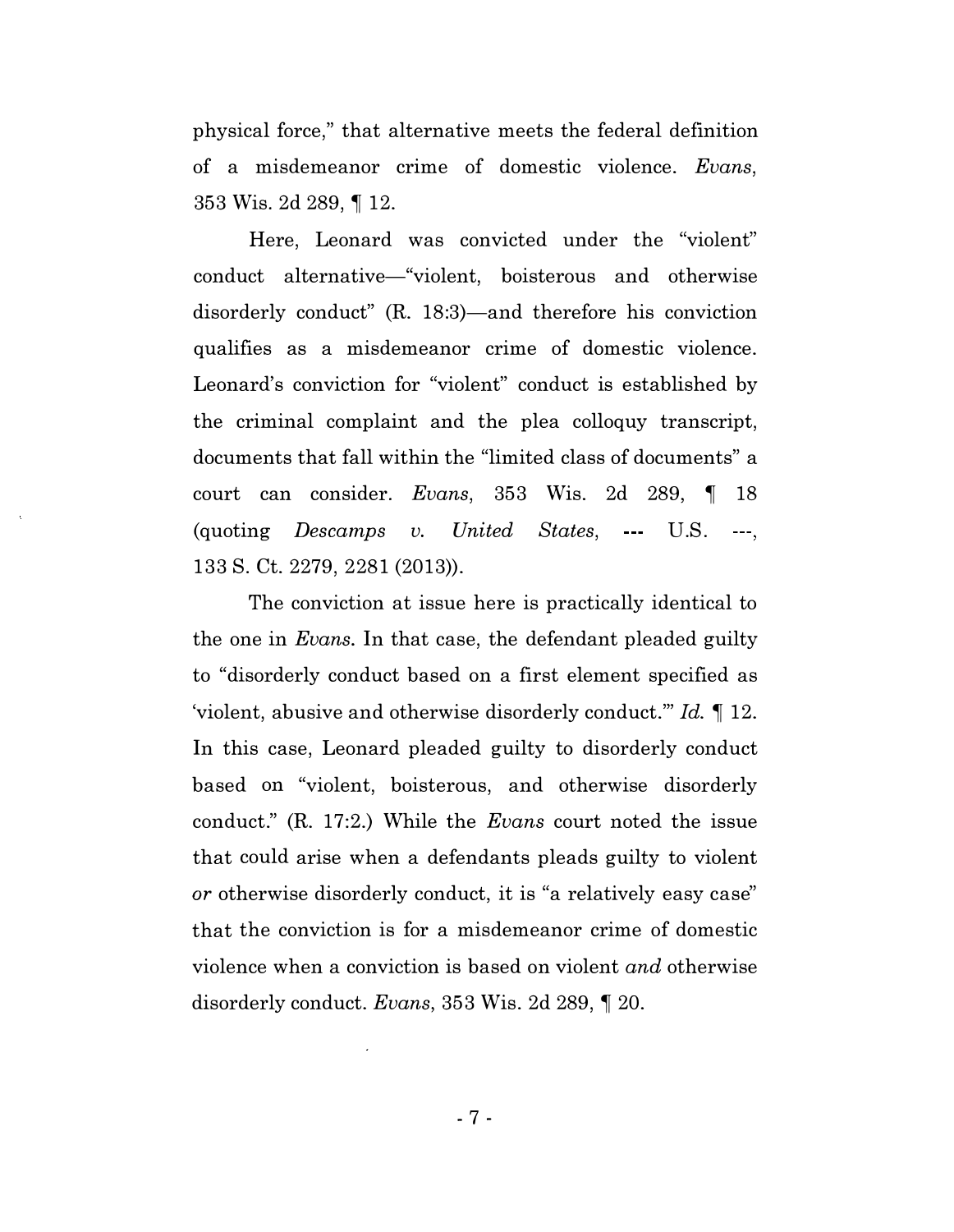physical force, " that alternative meets the federal definition of a misdemeanor crime of domestic violence. Evans, 353 Wis. 2d 289, ¶ 12.

Here, Leonard was convicted under the "violent" conduct alternative-"violent, boisterous and otherwise disorderly conduct" (R. 18:3)—and therefore his conviction qualifies as a misdemeanor crime of domestic violence. Leonard's conviction for "violent" conduct is established by the criminal complaint and the plea colloquy transcript, documents that fall within the "limited class of documents" a court can consider. Evans, 353 Wis. 2d 289,  $\parallel$  18  $($ quoting *Descamps v. United States*,  $\cdots$  U.S.  $\cdots$ , 133 S. Ct. 2279, 2281 (2013)).

The conviction at issue here is practically identical to the one in *Evans*. In that case, the defendant pleaded guilty to "disorderly conduct based on a first element specified as 'violent, abusive and otherwise disorderly conduct." Id.  $\P$  12. In this case, Leonard pleaded guilty to disorderly conduct based on "violent, boisterous, and otherwise disorderly conduct." (R. 17:2.) While the *Evans* court noted the issue that could arise when a defendants pleads guilty to violent or otherwise disorderly conduct, it is "a relatively easy case" that the conviction is for a misdemeanor crime of domestic violence when a conviction is based on violent and otherwise disorderly conduct. Evans, 353 Wis. 2d 289,  $\P$  20.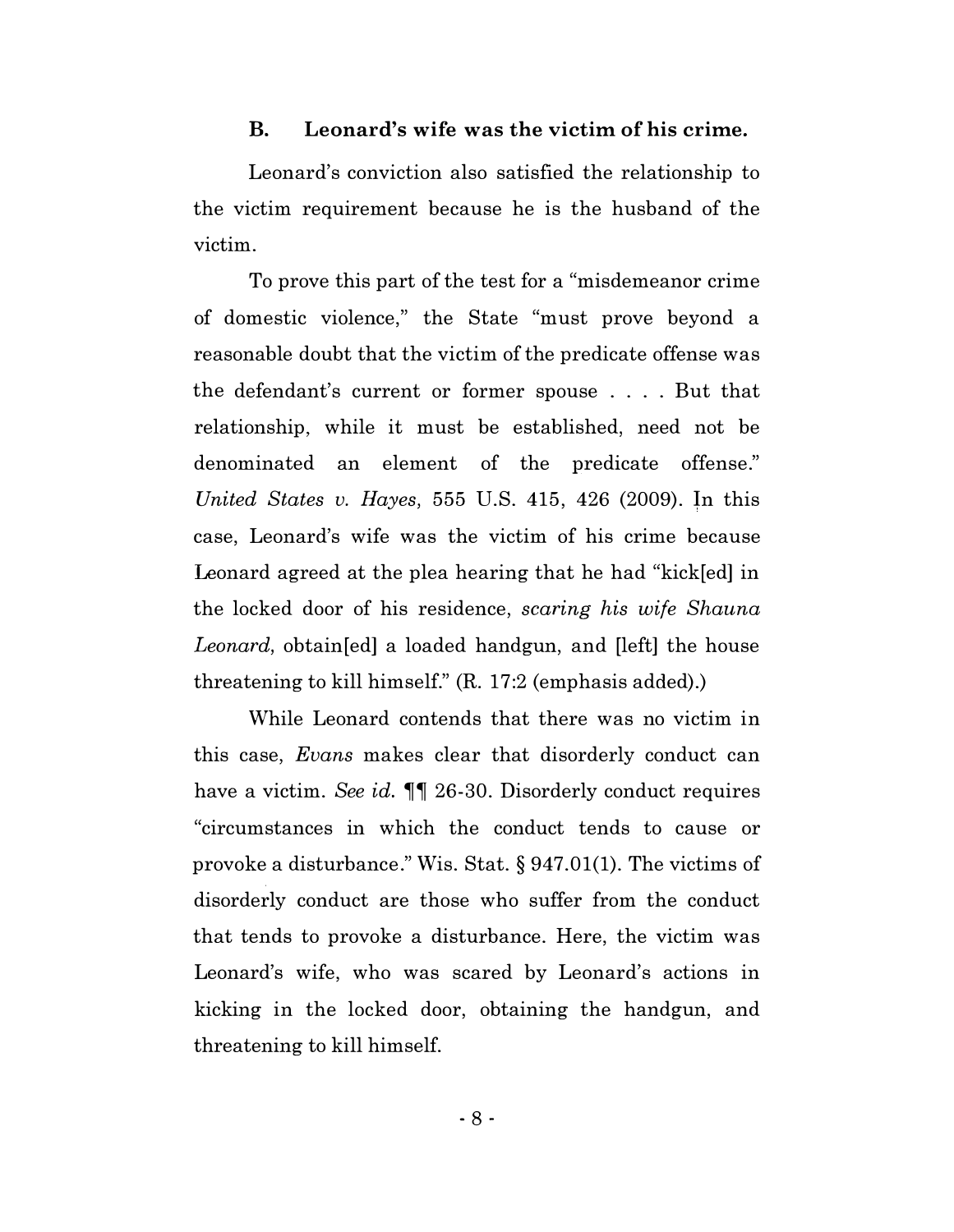#### B. Leonard's wife was the victim of his crime.

Leonard's conviction also satisfied the relationship to the victim requirement because he is the husband of the victim.

To prove this part of the test for a "misdemeanor crime of domestic violence," the State "must prove beyond a reasonable doubt that the victim of the predicate offense was the defendant's current or former spouse .... But that relationship, while it must be established, need not be denominated an element of the predicate offense." United States v. Hayes, 555 U.S. 415, 426 (2009). In this case, Leonard's wife was the victim of his crime because Leonard agreed at the plea hearing that he had "kick[ed] in the locked door of his residence, scaring his wife Shauna Leonard, obtain [ed] a loaded handgun, and [left] the house threatening to kill himself." (R. 17:2 (emphasis added).)

While Leonard contends that there was no victim in this case, Evans makes clear that disorderly conduct can have a victim. See id.  $\P$  26-30. Disorderly conduct requires "circumstances in which the conduct tends to cause or provoke a disturbance." Wis. Stat. § 947.01(1). The victims of disorderly conduct are those who suffer from the conduct that tends to provoke a disturbance. Here, the victim was Leonard's wife, who was scared by Leonard's actions in kicking in the locked door, obtaining the handgun, and threatening to kill himself.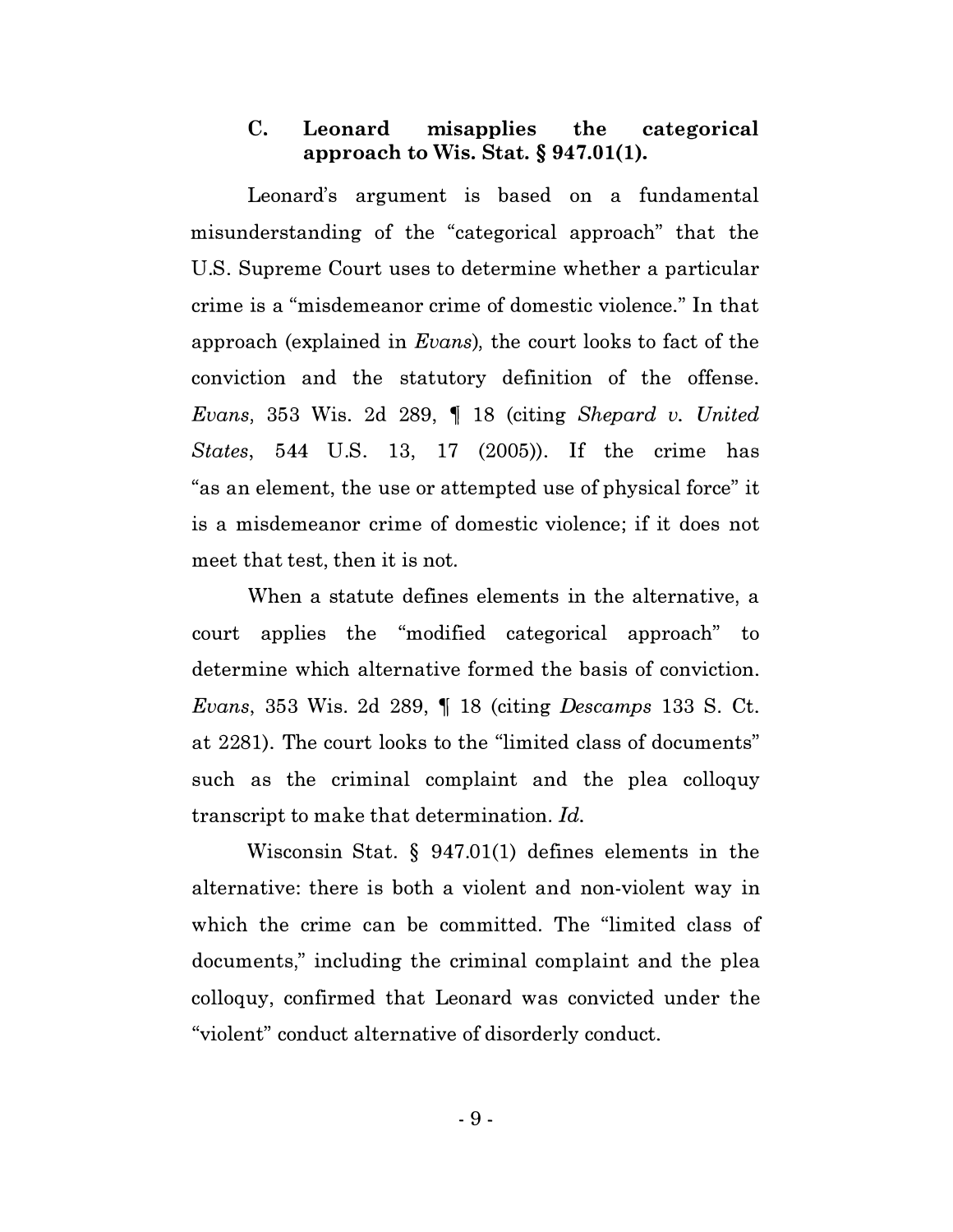#### C. Leonard misapplies the categorical approach to Wis. Stat.  $\S 947.01(1)$ .

Leonard's argument is based on a fundamental misunderstanding of the "categorical approach" that the U.S. Supreme Court uses to determine whether a particular crime is a "misdemeanor crime of domestic violence." In that approach (explained in Evans), the court looks to fact of the conviction and the statutory definition of the offense. Evans, 353 Wis. 2d 289,  $\parallel$  18 (citing Shepard v. United States, 544 U.S. 13, 17 (2005)). If the crime has "as an element, the use or attempted use of physical force" it is a misdemeanor crime of domestic violence; if it does not meet that test, then it is not.

When a statute defines elements in the alternative, a court applies the "modified categorical approach" to determine which alternative formed the basis of conviction. Evans, 353 Wis. 2d 289,  $\parallel$  18 (citing Descamps 133 S. Ct. at 2281). The court looks to the "limited class of documents" such as the criminal complaint and the plea colloquy transcript to make that determination. Id.

Wisconsin Stat. § 947.01(1) defines elements in the alternative: there is both a violent and non-violent way in which the crime can be committed. The "limited class of documents," including the criminal complaint and the plea colloquy, confirmed that Leonard was convicted under the "violent" conduct alternative of disorderly conduct.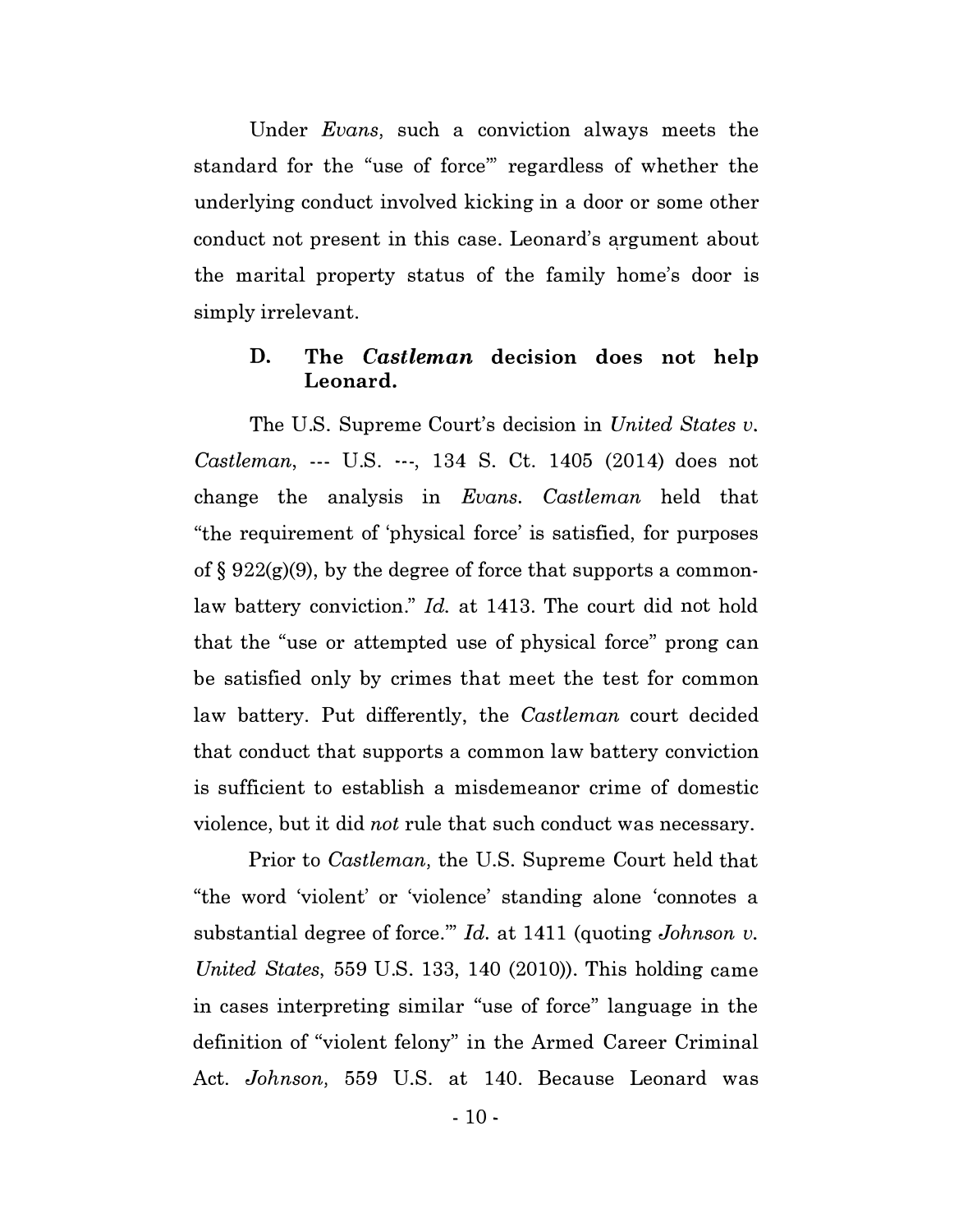Under Evans, such a conviction always meets the standard for the "use of force"' regardless of whether the underlying conduct involved kicking in a door or some other conduct not present in this case. Leonard's argument about the marital property status of the family home's door is simply irrelevant.

#### D. The Castleman decision does not help Leonard.

The U.S. Supreme Court's decision in United States v. Castleman, --- U.S. ---, 134 S. Ct. 1405 (2014) does not change the analysis in Evans. Castleman held that "the requirement of 'physical force' is satisfied, for purposes of  $\S 922(g)(9)$ , by the degree of force that supports a commonlaw battery conviction." Id. at 1413. The court did not hold that the "use or attempted use of physical force" prong can be satisfied only by crimes that meet the test for common law battery. Put differently, the Castleman court decided that conduct that supports a common law battery conviction is sufficient to establish a misdemeanor crime of domestic violence, but it did not rule that such conduct was necessary.

Prior to Castleman, the U.S. Supreme Court held that "the word 'violent' or 'violence' standing alone 'connotes a substantial degree of force."  $Id.$  at 1411 (quoting Johnson v. United States, 559 U.S. 133, 140 (2010)). This holding came in cases interpreting similar "use of force" language in the definition of "violent felony" in the Armed Career Criminal Act. Johnson, 559 U.S. at 140. Because Leonard was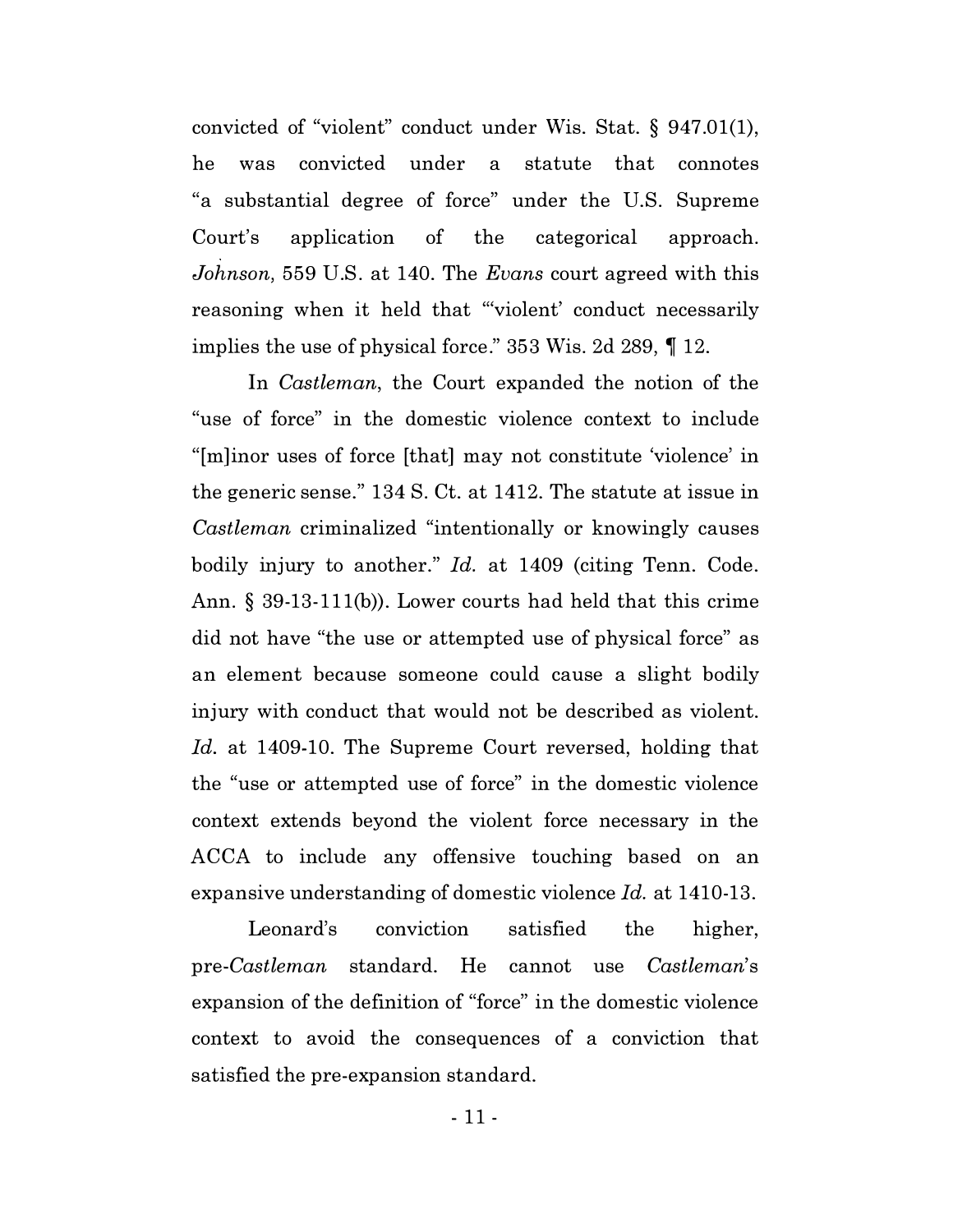convicted of "violent" conduct under Wis. Stat. § 947.01(1), he was convicted under a statute that connotes "a substantial degree of force" under the U.S. Supreme Court's application of the categorical approach. Johnson, 559 U.S. at 140. The Evans court agreed with this reasoning when it held that "'violent' conduct necessarily implies the use of physical force." 353 Wis. 2d 289,  $\P$  12.

In *Castleman*, the Court expanded the notion of the "use of force" in the domestic violence context to include "[m]inor uses of force [that] may not constitute 'violence' in the generic sense." 134 S. Ct. at 1412. The statute at issue in Castleman criminalized "intentionally or knowingly causes bodily injury to another." Id. at 1409 (citing Tenn. Code. Ann. § 39-13-111(b)). Lower courts had held that this crime did not have "the use or attempted use of physical force" as an element because someone could cause a slight bodily injury with conduct that would not be described as violent. Id. at 1409-10. The Supreme Court reversed, holding that the "use or attempted use of force" in the domestic violence context extends beyond the violent force necessary in the ACCA to include any offensive touching based on an expansive understanding of domestic violence Id. at 1410-13.

Leonard's conviction satisfied the higher, pre-Castleman standard. He cannot use Castleman's expansion of the definition of "force" in the domestic violence context to avoid the consequences of a conviction that satisfied the pre-expansion standard.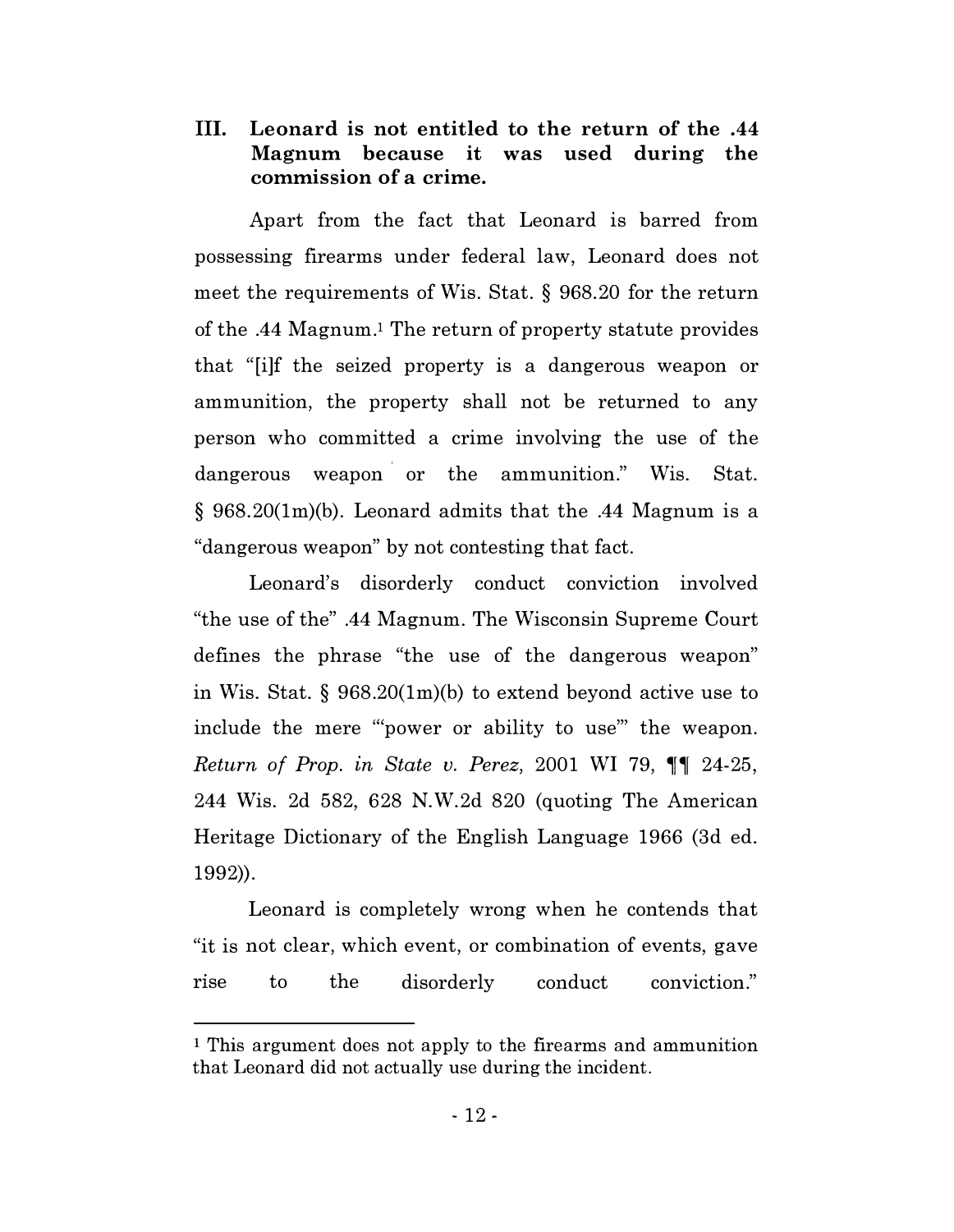III. Leonard is not entitled to the return of the .44 Magnum because it was used during the commission of a crime.

Apart from the fact that Leonard is barred from possessing firearms under federal law, Leonard does not meet the requirements of Wis. Stat. § 968.20 for the return of the .44 Magnum.! The return of property statute provides that "[i]f the seized property is a dangerous weapon or ammunition, the property shall not be returned to any person who committed a crime involving the use of the dangerous weapon or the ammunition." Wis. Stat. § 968.20(1m)(b). Leonard admits that the .44 Magnum is a "dangerous weapon" by not contesting that fact.

Leonard's disorderly conduct conviction involved "the use of the" .44 Magnum. The Wisconsin Supreme Court defines the phrase "the use of the dangerous weapon" in Wis. Stat. § 968.20(1m)(b) to extend beyond active use to include the mere '"power or ability to use"' the weapon. Return of Prop. in State v. Perez, 2001 WI 79,  $\P\P$  24-25, 244 Wis. 2d 582, 628 N.W.2d 820 (quoting The American Heritage Dictionary of the English Language 1966 (3d ed. 1992)).

Leonard is completely wrong when he contends that "it is not clear, which event, or combination of events, gave rise to the disorderly conduct conviction."

<sup>1</sup> This argument does not apply to the firearms and ammunition that Leonard did not actually use during the incident.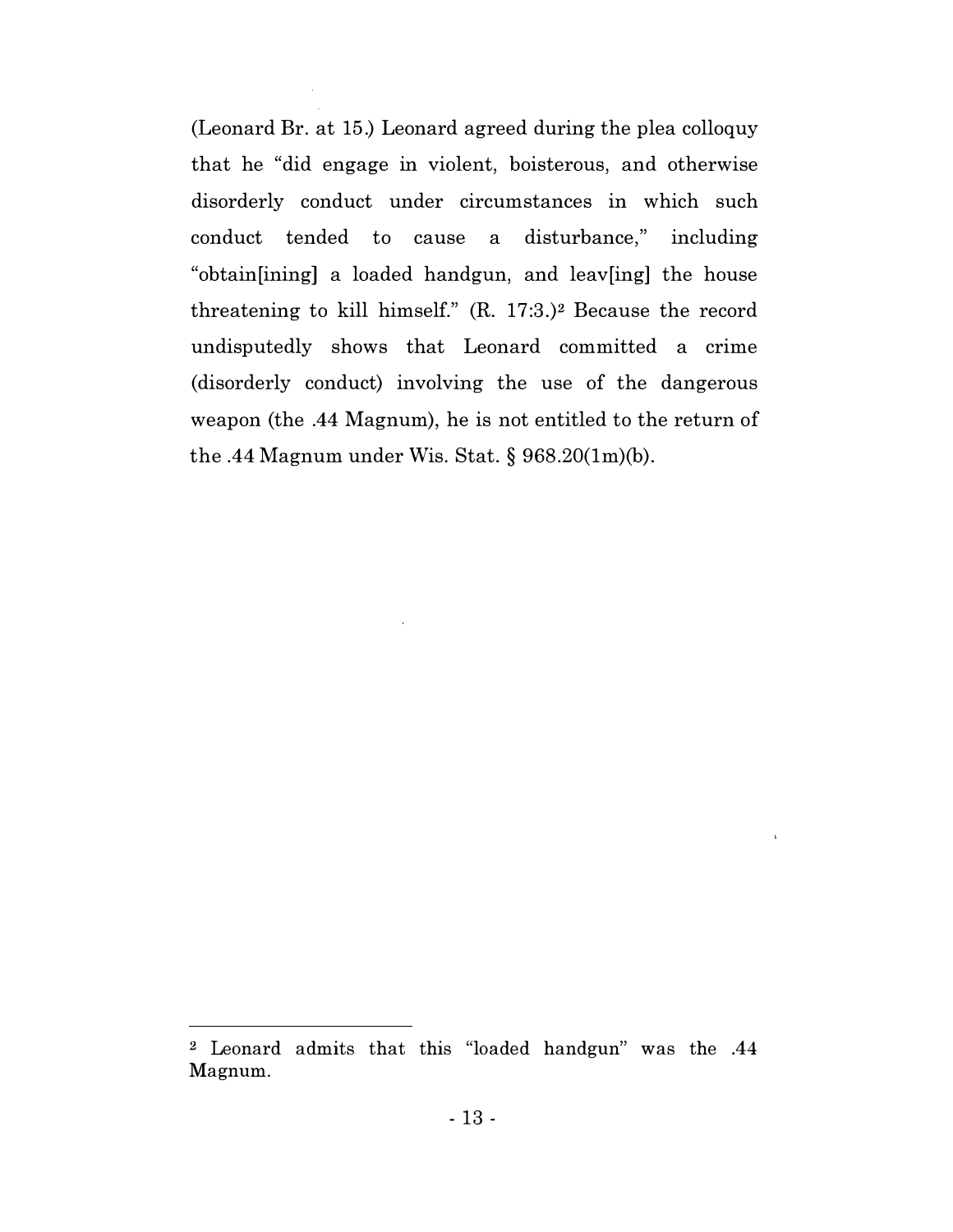(Leonard Br. at 15.) Leonard agreed during the plea colloquy that he "did engage in violent, boisterous, and otherwise disorderly conduct under circumstances in which such conduct tended to cause a disturbance," including "obtain[ining] a loaded handgun, and leav[ing] the house threatening to kill himself."  $(R. 17:3.)^2$  Because the record undisputedly shows that Leonard committed a crime (disorderly conduct) involving the use of the dangerous weapon (the .44 Magnum), he is not entitled to the return of the .44 Magnum under Wis. Stat.  $\S$  968.20(1m)(b).

<sup>2</sup> Leonard admits that this "loaded handgun'' was the .44 Magnum.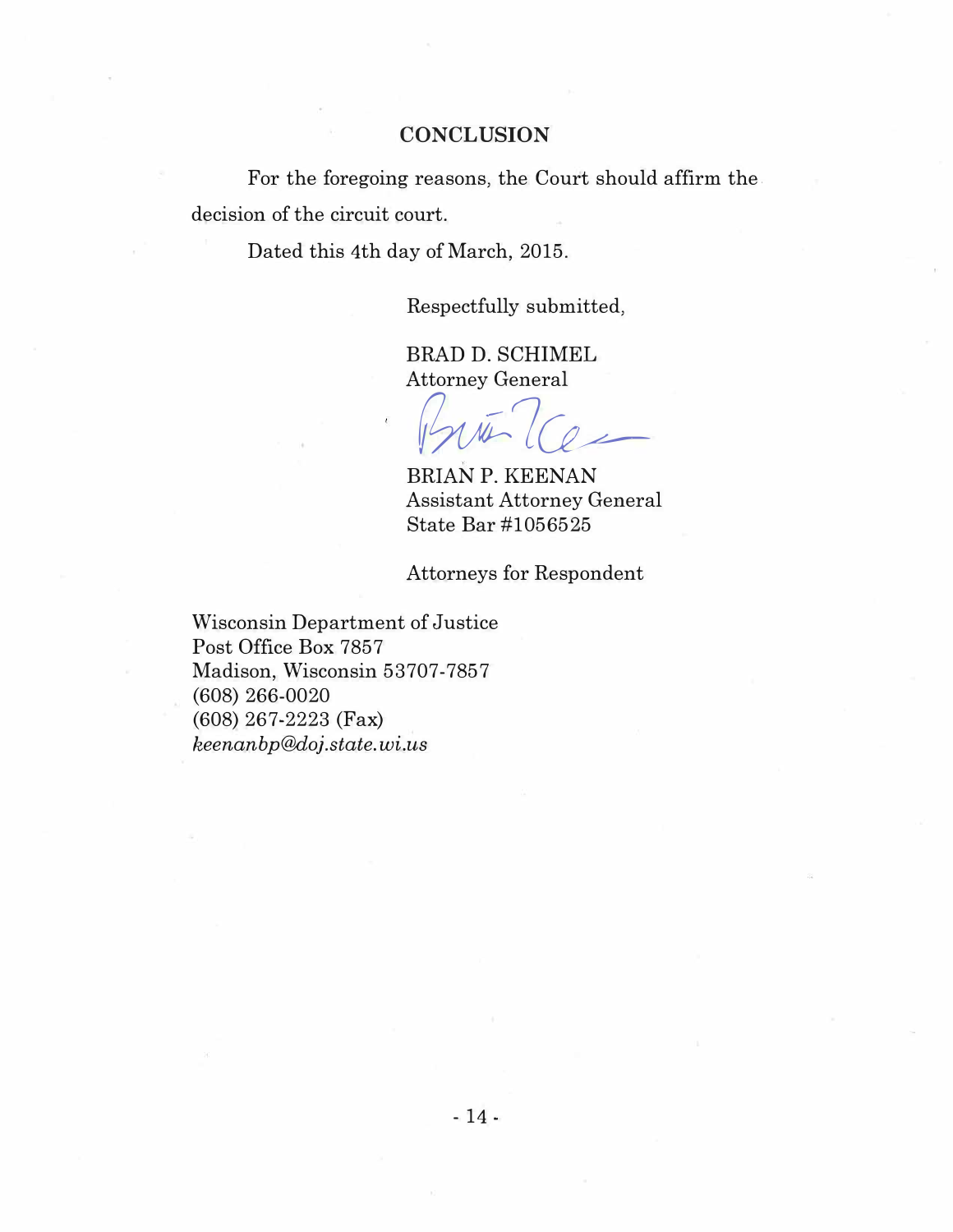#### **CONCLUSION**

For the foregoing reasons, the Court should affirm the. decision of the circuit court.

Dated this 4th day of March, 2015.

Respectfully submitted,

BRAD D. SCHIMEL Attorney General

Proto 7 Ce

BRIAN P. KEENAN Assistant Attorney General State Bar #1056525

Attorneys for Respondent

Wisconsin Department of Justice Post Office Box 7857 Madison, Wisconsin 53707-7857 (608) 266-0020 (608) 267-2223 (Fax) keenanbp@doj.state.wi.us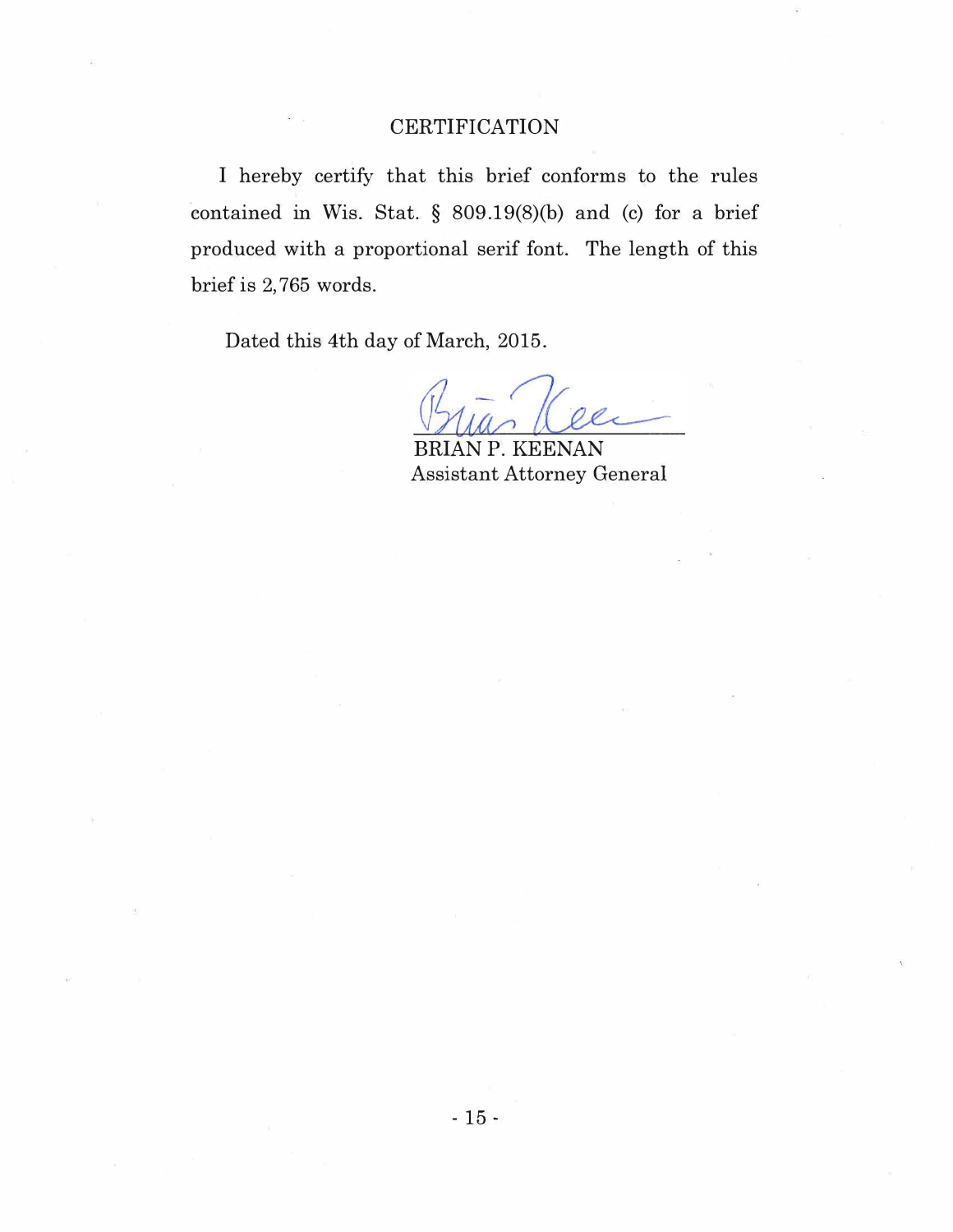#### **CERTIFICATION**

I hereby certify that this brief conforms to the rules contained in Wis. Stat. § 809.19(8)(b) and (c) for a brief produced with a proportional serif font. The length of this brief is 2, 765 words.

Dated this 4th day of March, 2015.

BRIAN P. KEENAN Assistant Attorney General